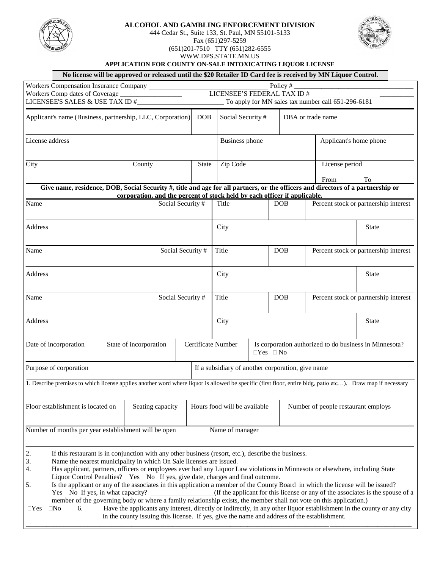

## **ALCOHOL AND GAMBLING ENFORCEMENT DIVISION**

444 Cedar St., Suite 133, St. Paul, MN 55101-5133

Fax (651)297-5259 (651)201-7510 TTY (651)282-6555



WWW.DPS.STATE.MN.US **APPLICATION FOR COUNTY ON-SALE INTOXICATING LIQUOR LICENSE**

|                                                            |  |                                                                            |                                            |                                   |                                                                                           |                                      | No license will be approved or released until the \$20 Retailer ID Card fee is received by MN Liquor Control. |                                                                                                                                                                                                                                                                                                                                                                                                                                                                                                                                                                                                                                                                                                                                                                                                                                                                                                                                                                                                                                                                                                                                                                                                                                                                                                                                                                                                            |  |
|------------------------------------------------------------|--|----------------------------------------------------------------------------|--------------------------------------------|-----------------------------------|-------------------------------------------------------------------------------------------|--------------------------------------|---------------------------------------------------------------------------------------------------------------|------------------------------------------------------------------------------------------------------------------------------------------------------------------------------------------------------------------------------------------------------------------------------------------------------------------------------------------------------------------------------------------------------------------------------------------------------------------------------------------------------------------------------------------------------------------------------------------------------------------------------------------------------------------------------------------------------------------------------------------------------------------------------------------------------------------------------------------------------------------------------------------------------------------------------------------------------------------------------------------------------------------------------------------------------------------------------------------------------------------------------------------------------------------------------------------------------------------------------------------------------------------------------------------------------------------------------------------------------------------------------------------------------------|--|
| Workers Compensation Insurance Company                     |  |                                                                            |                                            |                                   | Policy $#$                                                                                |                                      |                                                                                                               |                                                                                                                                                                                                                                                                                                                                                                                                                                                                                                                                                                                                                                                                                                                                                                                                                                                                                                                                                                                                                                                                                                                                                                                                                                                                                                                                                                                                            |  |
| Workers Comp dates of Coverage                             |  |                                                                            |                                            | LICENSEE'S FEDERAL TAX ID #       |                                                                                           |                                      |                                                                                                               |                                                                                                                                                                                                                                                                                                                                                                                                                                                                                                                                                                                                                                                                                                                                                                                                                                                                                                                                                                                                                                                                                                                                                                                                                                                                                                                                                                                                            |  |
|                                                            |  |                                                                            |                                            |                                   |                                                                                           |                                      |                                                                                                               |                                                                                                                                                                                                                                                                                                                                                                                                                                                                                                                                                                                                                                                                                                                                                                                                                                                                                                                                                                                                                                                                                                                                                                                                                                                                                                                                                                                                            |  |
| Applicant's name (Business, partnership, LLC, Corporation) |  |                                                                            | <b>DOB</b>                                 |                                   |                                                                                           | DBA or trade name                    |                                                                                                               |                                                                                                                                                                                                                                                                                                                                                                                                                                                                                                                                                                                                                                                                                                                                                                                                                                                                                                                                                                                                                                                                                                                                                                                                                                                                                                                                                                                                            |  |
| License address                                            |  |                                                                            |                                            |                                   | <b>Business phone</b>                                                                     |                                      | Applicant's home phone                                                                                        |                                                                                                                                                                                                                                                                                                                                                                                                                                                                                                                                                                                                                                                                                                                                                                                                                                                                                                                                                                                                                                                                                                                                                                                                                                                                                                                                                                                                            |  |
| City<br>County                                             |  |                                                                            |                                            | Zip Code                          |                                                                                           |                                      | License period                                                                                                |                                                                                                                                                                                                                                                                                                                                                                                                                                                                                                                                                                                                                                                                                                                                                                                                                                                                                                                                                                                                                                                                                                                                                                                                                                                                                                                                                                                                            |  |
|                                                            |  |                                                                            |                                            |                                   |                                                                                           |                                      |                                                                                                               | To                                                                                                                                                                                                                                                                                                                                                                                                                                                                                                                                                                                                                                                                                                                                                                                                                                                                                                                                                                                                                                                                                                                                                                                                                                                                                                                                                                                                         |  |
|                                                            |  |                                                                            |                                            |                                   |                                                                                           |                                      |                                                                                                               |                                                                                                                                                                                                                                                                                                                                                                                                                                                                                                                                                                                                                                                                                                                                                                                                                                                                                                                                                                                                                                                                                                                                                                                                                                                                                                                                                                                                            |  |
|                                                            |  |                                                                            |                                            |                                   |                                                                                           |                                      |                                                                                                               |                                                                                                                                                                                                                                                                                                                                                                                                                                                                                                                                                                                                                                                                                                                                                                                                                                                                                                                                                                                                                                                                                                                                                                                                                                                                                                                                                                                                            |  |
|                                                            |  |                                                                            |                                            | Title                             |                                                                                           | DOB                                  |                                                                                                               | Percent stock or partnership interest                                                                                                                                                                                                                                                                                                                                                                                                                                                                                                                                                                                                                                                                                                                                                                                                                                                                                                                                                                                                                                                                                                                                                                                                                                                                                                                                                                      |  |
|                                                            |  |                                                                            |                                            | City                              |                                                                                           |                                      |                                                                                                               | <b>State</b>                                                                                                                                                                                                                                                                                                                                                                                                                                                                                                                                                                                                                                                                                                                                                                                                                                                                                                                                                                                                                                                                                                                                                                                                                                                                                                                                                                                               |  |
| Name                                                       |  | Social Security #                                                          |                                            | Title                             |                                                                                           | <b>DOB</b>                           |                                                                                                               | Percent stock or partnership interest                                                                                                                                                                                                                                                                                                                                                                                                                                                                                                                                                                                                                                                                                                                                                                                                                                                                                                                                                                                                                                                                                                                                                                                                                                                                                                                                                                      |  |
| Address                                                    |  |                                                                            |                                            | City                              |                                                                                           |                                      |                                                                                                               | <b>State</b>                                                                                                                                                                                                                                                                                                                                                                                                                                                                                                                                                                                                                                                                                                                                                                                                                                                                                                                                                                                                                                                                                                                                                                                                                                                                                                                                                                                               |  |
| Name                                                       |  | Social Security #                                                          |                                            | Title                             |                                                                                           | <b>DOB</b>                           |                                                                                                               | Percent stock or partnership interest                                                                                                                                                                                                                                                                                                                                                                                                                                                                                                                                                                                                                                                                                                                                                                                                                                                                                                                                                                                                                                                                                                                                                                                                                                                                                                                                                                      |  |
|                                                            |  |                                                                            |                                            | City                              |                                                                                           |                                      |                                                                                                               | <b>State</b>                                                                                                                                                                                                                                                                                                                                                                                                                                                                                                                                                                                                                                                                                                                                                                                                                                                                                                                                                                                                                                                                                                                                                                                                                                                                                                                                                                                               |  |
|                                                            |  |                                                                            |                                            |                                   |                                                                                           |                                      |                                                                                                               |                                                                                                                                                                                                                                                                                                                                                                                                                                                                                                                                                                                                                                                                                                                                                                                                                                                                                                                                                                                                                                                                                                                                                                                                                                                                                                                                                                                                            |  |
|                                                            |  |                                                                            |                                            |                                   |                                                                                           |                                      |                                                                                                               |                                                                                                                                                                                                                                                                                                                                                                                                                                                                                                                                                                                                                                                                                                                                                                                                                                                                                                                                                                                                                                                                                                                                                                                                                                                                                                                                                                                                            |  |
|                                                            |  |                                                                            |                                            |                                   |                                                                                           |                                      |                                                                                                               |                                                                                                                                                                                                                                                                                                                                                                                                                                                                                                                                                                                                                                                                                                                                                                                                                                                                                                                                                                                                                                                                                                                                                                                                                                                                                                                                                                                                            |  |
|                                                            |  |                                                                            |                                            |                                   |                                                                                           |                                      |                                                                                                               |                                                                                                                                                                                                                                                                                                                                                                                                                                                                                                                                                                                                                                                                                                                                                                                                                                                                                                                                                                                                                                                                                                                                                                                                                                                                                                                                                                                                            |  |
| Floor establishment is located on                          |  |                                                                            | Hours food will be available               |                                   |                                                                                           |                                      |                                                                                                               |                                                                                                                                                                                                                                                                                                                                                                                                                                                                                                                                                                                                                                                                                                                                                                                                                                                                                                                                                                                                                                                                                                                                                                                                                                                                                                                                                                                                            |  |
| Number of months per year establishment will be open       |  |                                                                            |                                            |                                   |                                                                                           |                                      |                                                                                                               |                                                                                                                                                                                                                                                                                                                                                                                                                                                                                                                                                                                                                                                                                                                                                                                                                                                                                                                                                                                                                                                                                                                                                                                                                                                                                                                                                                                                            |  |
|                                                            |  |                                                                            |                                            |                                   |                                                                                           |                                      |                                                                                                               |                                                                                                                                                                                                                                                                                                                                                                                                                                                                                                                                                                                                                                                                                                                                                                                                                                                                                                                                                                                                                                                                                                                                                                                                                                                                                                                                                                                                            |  |
|                                                            |  | LICENSEE'S SALES & USE TAX ID $\#_{-}$<br>Yes No If yes, in what capacity? | State of incorporation<br>Seating capacity | <b>State</b><br>Social Security # | Certificate Number<br>Name the nearest municipality in which On Sale licenses are issued. | Social Security #<br>Name of manager | $\Box Yes \Box No$<br>Liquor Control Penalties? Yes No If yes, give date, charges and final outcome.          | To apply for MN sales tax number call 651-296-6181<br>From<br>Give name, residence, DOB, Social Security #, title and age for all partners, or the officers and directors of a partnership or<br>corporation, and the percent of stock held by each officer if applicable.<br>Is corporation authorized to do business in Minnesota?<br>If a subsidiary of another corporation, give name<br>1. Describe premises to which license applies another word where liquor is allowed be specific (first floor, entire bldg, patio etc). Draw map if necessary<br>Number of people restaurant employs<br>If this restaurant is in conjunction with any other business (resort, etc.), describe the business.<br>Has applicant, partners, officers or employees ever had any Liquor Law violations in Minnesota or elsewhere, including State<br>Is the applicant or any of the associates in this application a member of the County Board in which the license will be issued?<br>(If the applicant for this license or any of the associates is the spouse of a<br>member of the governing body or where a family relationship exists, the member shall not vote on this application.)<br>Have the applicants any interest, directly or indirectly, in any other liquor establishment in the county or any city<br>in the county issuing this license. If yes, give the name and address of the establishment. |  |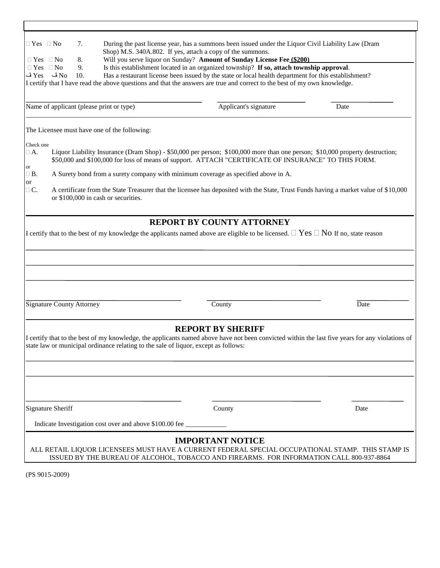| $\Box$ Yes $\Box$ No                         |                                  | 7.       |                                                                                     | During the past license year, has a summons been issued under the Liquor Civil Liability Law (Dram<br>Shop) M.S. 340A.802. If yes, attach a copy of the summons.                                                                     |      |
|----------------------------------------------|----------------------------------|----------|-------------------------------------------------------------------------------------|--------------------------------------------------------------------------------------------------------------------------------------------------------------------------------------------------------------------------------------|------|
| $\Box$ Yes $\Box$ No<br>$\Box$ Yes $\Box$ No |                                  | 8.<br>9. |                                                                                     | Will you serve liquor on Sunday? Amount of Sunday License Fee (\$200)<br>Is this establishment located in an organized township? If so, attach township approval.                                                                    |      |
|                                              | $\rm Yes$ ف $\rm No$             | 10.      |                                                                                     | Has a restaurant license been issued by the state or local health department for this establishment?                                                                                                                                 |      |
|                                              |                                  |          |                                                                                     | I certify that I have read the above questions and that the answers are true and correct to the best of my own knowledge.                                                                                                            |      |
|                                              |                                  |          |                                                                                     |                                                                                                                                                                                                                                      |      |
|                                              |                                  |          | Name of applicant (please print or type)                                            | Applicant's signature                                                                                                                                                                                                                | Date |
|                                              |                                  |          | The Licensee must have one of the following:                                        |                                                                                                                                                                                                                                      |      |
| Check one                                    |                                  |          |                                                                                     |                                                                                                                                                                                                                                      |      |
| $\Box$ A.                                    |                                  |          |                                                                                     | Liquor Liability Insurance (Dram Shop) - \$50,000 per person; \$100,000 more than one person; \$10,000 property destruction;<br>\$50,000 and \$100,000 for loss of means of support. ATTACH "CERTIFICATE OF INSURANCE" TO THIS FORM. |      |
| or<br>$\Box$ B.<br><sub>or</sub>             |                                  |          |                                                                                     | A Surety bond from a surety company with minimum coverage as specified above in A.                                                                                                                                                   |      |
| $\Box$ C.                                    |                                  |          | or \$100,000 in cash or securities.                                                 | A certificate from the State Treasurer that the licensee has deposited with the State, Trust Funds having a market value of \$10,000                                                                                                 |      |
|                                              |                                  |          |                                                                                     | REPORT BY COUNTY ATTORNEY                                                                                                                                                                                                            |      |
|                                              |                                  |          |                                                                                     | I certify that to the best of my knowledge the applicants named above are eligible to be licensed. $\Box$ Yes $\Box$ No If no, state reason                                                                                          |      |
|                                              |                                  |          |                                                                                     |                                                                                                                                                                                                                                      |      |
|                                              |                                  |          |                                                                                     |                                                                                                                                                                                                                                      |      |
|                                              |                                  |          |                                                                                     |                                                                                                                                                                                                                                      |      |
|                                              |                                  |          |                                                                                     |                                                                                                                                                                                                                                      |      |
|                                              |                                  |          |                                                                                     |                                                                                                                                                                                                                                      |      |
|                                              |                                  |          |                                                                                     |                                                                                                                                                                                                                                      |      |
|                                              |                                  |          |                                                                                     |                                                                                                                                                                                                                                      |      |
|                                              | <b>Signature County Attorney</b> |          |                                                                                     | County                                                                                                                                                                                                                               | Date |
|                                              |                                  |          |                                                                                     |                                                                                                                                                                                                                                      |      |
|                                              |                                  |          |                                                                                     | <b>REPORT BY SHERIFF</b>                                                                                                                                                                                                             |      |
|                                              |                                  |          |                                                                                     | I certify that to the best of my knowledge, the applicants named above have not been convicted within the last five years for any violations of                                                                                      |      |
|                                              |                                  |          | state law or municipal ordinance relating to the sale of liquor, except as follows: |                                                                                                                                                                                                                                      |      |
|                                              |                                  |          |                                                                                     |                                                                                                                                                                                                                                      |      |
|                                              |                                  |          |                                                                                     |                                                                                                                                                                                                                                      |      |
|                                              |                                  |          |                                                                                     |                                                                                                                                                                                                                                      |      |
|                                              |                                  |          |                                                                                     |                                                                                                                                                                                                                                      |      |
|                                              |                                  |          |                                                                                     |                                                                                                                                                                                                                                      |      |
|                                              | <b>Signature Sheriff</b>         |          |                                                                                     | County                                                                                                                                                                                                                               | Date |
|                                              |                                  |          | Indicate Investigation cost over and above \$100.00 fee                             |                                                                                                                                                                                                                                      |      |
|                                              |                                  |          |                                                                                     |                                                                                                                                                                                                                                      |      |
|                                              |                                  |          |                                                                                     | <b>IMPORTANT NOTICE</b>                                                                                                                                                                                                              |      |
|                                              |                                  |          |                                                                                     | ALL RETAIL LIQUOR LICENSEES MUST HAVE A CURRENT FEDERAL SPECIAL OCCUPATIONAL STAMP. THIS STAMP IS                                                                                                                                    |      |
|                                              |                                  |          |                                                                                     | ISSUED BY THE BUREAU OF ALCOHOL, TOBACCO AND FIREARMS. FOR INFORMATION CALL 800-937-8864                                                                                                                                             |      |

(PS 9015-2009)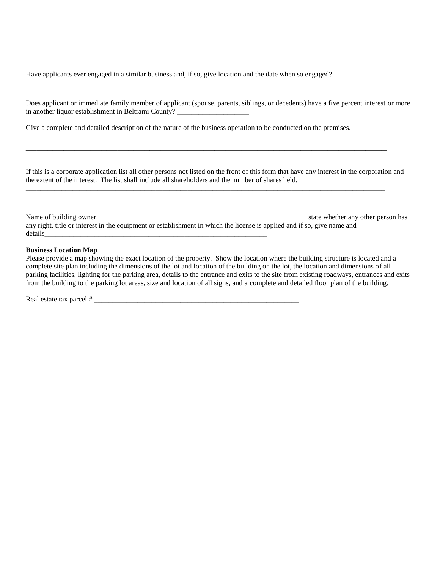Have applicants ever engaged in a similar business and, if so, give location and the date when so engaged?

| Does applicant or immediate family member of applicant (spouse, parents, siblings, or decedents) have a five percent interest or more |  |
|---------------------------------------------------------------------------------------------------------------------------------------|--|
| in another liquor establishment in Beltrami County?                                                                                   |  |

 $\overline{\phantom{a}}$  , and the contract of the contract of the contract of the contract of the contract of the contract of the contract of the contract of the contract of the contract of the contract of the contract of the contrac

\_\_\_\_\_\_\_\_\_\_\_\_\_\_\_\_\_\_\_\_\_\_\_\_\_\_\_\_\_\_\_\_\_\_\_\_\_\_\_\_\_\_\_\_\_\_\_\_\_\_\_\_\_\_\_\_\_\_\_\_\_\_\_\_\_\_\_\_\_\_\_\_\_\_\_\_\_\_\_\_\_\_\_\_\_\_\_\_\_\_\_\_\_\_\_\_\_\_\_  $\overline{a}$  , and the contribution of the contribution of the contribution of the contribution of the contribution of the contribution of the contribution of the contribution of the contribution of the contribution of the co

Give a complete and detailed description of the nature of the business operation to be conducted on the premises.

If this is a corporate application list all other persons not listed on the front of this form that have any interest in the corporation and the extent of the interest. The list shall include all shareholders and the number of shares held.

\_\_\_\_\_\_\_\_\_\_\_\_\_\_\_\_\_\_\_\_\_\_\_\_\_\_\_\_\_\_\_\_\_\_\_\_\_\_\_\_\_\_\_\_\_\_\_\_\_\_\_\_\_\_\_\_\_\_\_\_\_\_\_\_\_\_\_\_\_\_\_\_\_\_\_\_\_\_\_\_\_\_\_\_\_\_\_\_\_\_\_\_\_\_\_\_\_\_\_\_  $\overline{\phantom{a}}$  , and the contract of the contract of the contract of the contract of the contract of the contract of the contract of the contract of the contract of the contract of the contract of the contract of the contrac

Name of building owner\_\_\_\_\_\_\_\_\_\_\_\_\_\_\_\_\_\_\_\_\_\_\_\_\_\_\_\_\_\_\_\_\_\_\_\_\_\_\_\_\_\_\_\_\_\_\_\_\_\_\_\_\_\_\_\_\_\_\_state whether any other person has any right, title or interest in the equipment or establishment in which the license is applied and if so, give name and details\_\_\_\_\_\_\_\_\_\_\_\_\_\_\_\_\_\_\_\_\_\_\_\_\_\_\_\_\_\_\_\_\_\_\_\_\_\_\_\_\_\_\_\_\_\_\_\_\_\_\_\_\_\_\_\_\_\_\_\_\_\_

## **Business Location Map**

Please provide a map showing the exact location of the property. Show the location where the building structure is located and a complete site plan including the dimensions of the lot and location of the building on the lot, the location and dimensions of all parking facilities, lighting for the parking area, details to the entrance and exits to the site from existing roadways, entrances and exits from the building to the parking lot areas, size and location of all signs, and a complete and detailed floor plan of the building.

Real estate tax parcel # \_\_\_\_\_\_\_\_\_\_\_\_\_\_\_\_\_\_\_\_\_\_\_\_\_\_\_\_\_\_\_\_\_\_\_\_\_\_\_\_\_\_\_\_\_\_\_\_\_\_\_\_\_\_\_\_\_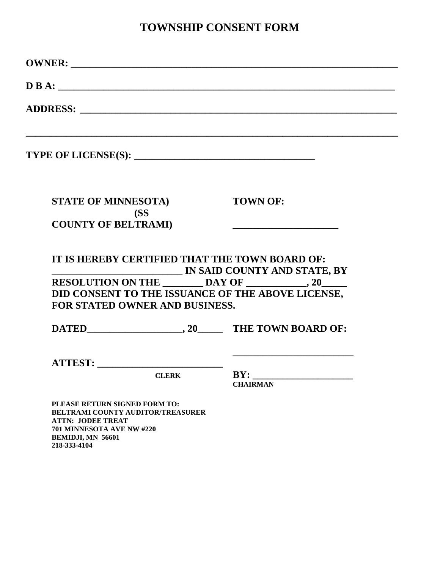## **TOWNSHIP CONSENT FORM**

|                                |              | $\overline{\mathbf{D}}\mathbf{B}\mathbf{A}$ :                                                                        |
|--------------------------------|--------------|----------------------------------------------------------------------------------------------------------------------|
|                                |              |                                                                                                                      |
|                                |              | ,我们也不会有什么。""我们的人,我们也不会有什么?""我们的人,我们也不会有什么?""我们的人,我们也不会有什么?""我们的人,我们也不会有什么?""我们的人                                     |
| <b>STATE OF MINNESOTA)</b>     | (SS          | <b>TOWN OF:</b>                                                                                                      |
| <b>COUNTY OF BELTRAMI)</b>     |              | <u> 1980 - Jan James James James James James James James James James James James James James James James James J</u> |
|                                |              | IT IS HEREBY CERTIFIED THAT THE TOWN BOARD OF:<br><b>IN SAID COUNTY AND STATE, BY</b>                                |
| FOR STATED OWNER AND BUSINESS. |              | DID CONSENT TO THE ISSUANCE OF THE ABOVE LICENSE,                                                                    |
|                                |              |                                                                                                                      |
|                                |              |                                                                                                                      |
|                                | <b>CLERK</b> | <b>CHAIRMAN</b>                                                                                                      |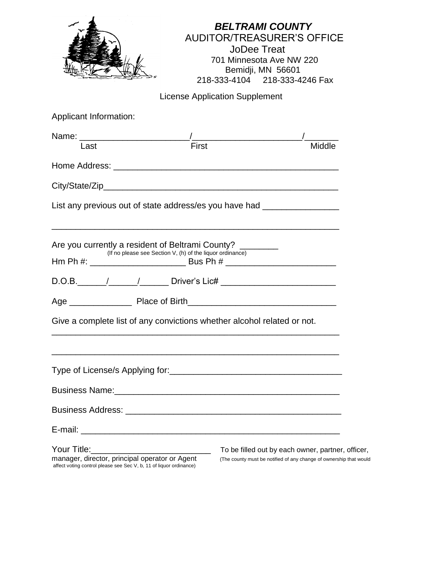|                                                                                                                                      |                                       | <b>BELTRAMI COUNTY</b><br><b>AUDITOR/TREASURER'S OFFICE</b><br><b>JoDee Treat</b><br>701 Minnesota Ave NW 220<br>Bemidji, MN 56601<br>218-333-4104 218-333-4246 Fax |
|--------------------------------------------------------------------------------------------------------------------------------------|---------------------------------------|---------------------------------------------------------------------------------------------------------------------------------------------------------------------|
|                                                                                                                                      | <b>License Application Supplement</b> |                                                                                                                                                                     |
| Applicant Information:                                                                                                               |                                       |                                                                                                                                                                     |
|                                                                                                                                      |                                       |                                                                                                                                                                     |
| Last                                                                                                                                 | First                                 | Middle                                                                                                                                                              |
|                                                                                                                                      |                                       |                                                                                                                                                                     |
|                                                                                                                                      |                                       |                                                                                                                                                                     |
|                                                                                                                                      |                                       |                                                                                                                                                                     |
| (If no please see Section V, (h) of the liquor ordinance)                                                                            |                                       |                                                                                                                                                                     |
|                                                                                                                                      |                                       |                                                                                                                                                                     |
| Are you currently a resident of Beltrami County? ________<br>Give a complete list of any convictions whether alcohol related or not. |                                       |                                                                                                                                                                     |
|                                                                                                                                      |                                       |                                                                                                                                                                     |
|                                                                                                                                      |                                       |                                                                                                                                                                     |
|                                                                                                                                      |                                       |                                                                                                                                                                     |
|                                                                                                                                      |                                       |                                                                                                                                                                     |